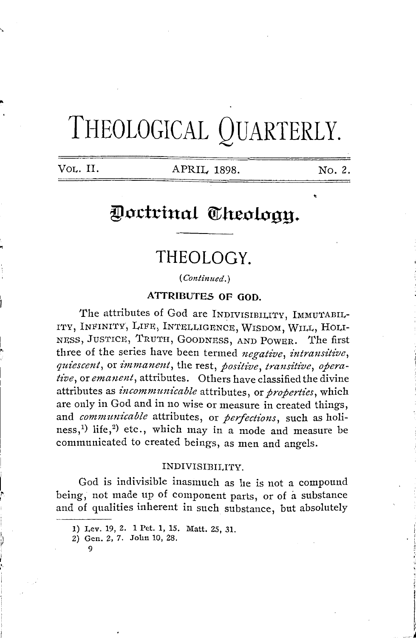# THEOLOGICAL QUARTERLY.

..

•

,.

i ~ VOL. II. APRIL 1898.

No. 2.

## Doctrinal Theology.

### **THEOLOGY.**

( *Contin11ed.)* 

**ATTRJBUTE.S OF GOD.** 

The attributes of God are INDIVISIBILITY, IMMUTABIL-ITY, INFINITY, LIFE, INTELLIGENCE, WISDOM, WILL, HOLI-NESS, JUSTICE, TRUTH, GOODNESS, AND POWER. The first three of the series have been termed *negative, intransitive,*   $quiescent$ , or  $immanent$ , the rest, *positive*, *transitive*, *operative,* or *emanent,* attributes. Others have classified the divine attributes as *incommunicable* attributes, or *properties*, which are only in God and in no wise or measure in created things, and *communicable* attributes, or *perfections*, such as holiness,<sup>1)</sup> life,<sup>2</sup>) etc., which may in a mode and measure be communicated to created beings, as men and angels.

#### INDIVISIBILITY.

God is indivisible inasmuch as he is not a compound being, not made up of component parts, or of a substance and of qualities inherent in such substance, but absolutely

9

**<sup>1)</sup>** Lev. 19, 2. **1** Pet. 1, 15. Matt. 25, 31.

<sup>2)</sup> Gen. 2, 7. John 10, 28.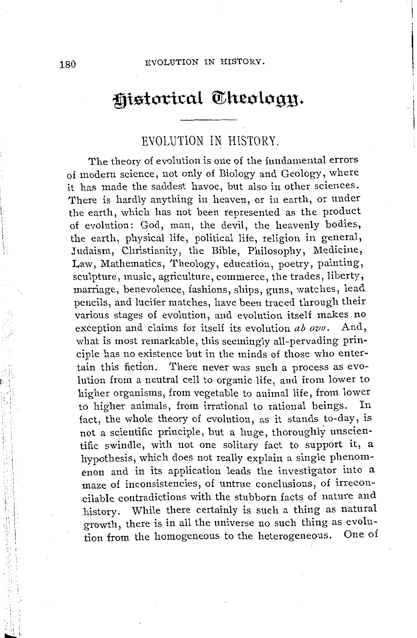I I

I

## **Historical Theology.**

#### EVOLUTION IN HISTORY.

The theory of evolution is one of the fundamental errors of modern science, not only of Biology and Geology, where it has made the saddest havoc, but also in other sciences. There is hardly anything in heaven, or in earth, or under the earth, which has not been represented as the product of evolution: God, man, the devil, the heavenly bodies, the earth, physical life, political life, religion in general, Judaism, Christianity, the Bible, Philosophy, Medicine, Law, Mathematics, Theology, education, poetry, painting, sculpture, music, agriculture, commerce, the trades, liberty, marriage, benevolence, fashions, ships, guns, watches, lead pencils, and lucifer matches, have been traced through their various stages of evolution, and evolution itself makes no exception and claims for itself its evolution *ab ovo.* And, what is most remarkable, this seemingly all-pervading principle has no existence but in the minds of those who entertain this fiction. There never was such a process as evolution from a neutral cell to organic life, and from lower to higher organisms, from vegetable to animal life, from lower to higher animals, from irrational to rational beings. In fact, the whole theory of evolution, as it stands to-day, is not a scientific principle, but a huge, thoroughly unscientific swindle, with not one solitary fact to support it, a hypothesis, which does not really explain a single phenomenon and in its application leads the investigator into a maze of inconsistencies, of untrue conclusions, of irreconcilable contradictions with the stubborn facts of nature and history. While there certainly is such a thing as natural growth, there is in all the universe no such thing as evolution from the homogeneous to the heterogeneous. One of

 $\mathcal{C}^{\dagger}_{\mathcal{C}}$ I I. A 11:,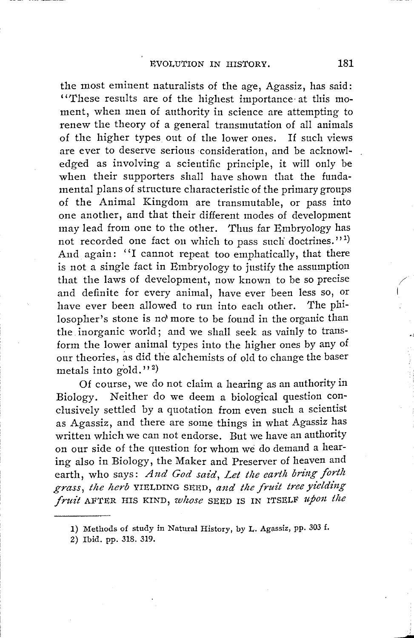the most eminent naturalists of the age, Agassiz, has said: "These results are of the highest importance· at this moment, when men of authority in science are attempting to renew the theory of a general transmutation of all animals of the higher types out of the lower ones. If such views are ever to deserve serious consideration, and be acknowledged as involving a scientific principle, it will only be when their supporters shall have shown that the fundamental plans of structure characteristic of the primary groups of the Animal Kingdom are transmutable, or pass into one another, and that their different modes of development may lead from one to the other. Thus far Embryology has not recorded one fact on which to pass such doctrines.''<sup>1)</sup> And again: "I cannot repeat too emphatically, that there is not a single fact in Embryology to justify the assumption that the laws of development, now known to be so precise and definite for every animal, have ever been less so, or have ever been allowed to run into each other. The philosopher's stone is no more to be found in the organic than the. inorganic world; and we shall seek as vainly to transform the lower animal types into the higher ones by any of our theories, as did the alchemists of old to change the baser metals into gold.''<sup>2)</sup>

Of course, we do not claim a hearing as an authority in Biology. Neither do we deem a biological question conclusively settled by a quotation from even such a scientist as Agassiz, and there are some things in what Agassiz has written which we can not endorse. But we have an authority on our side of the question for whom we do demand a hearing also in Biology, the Maker and Preserver of heaven and earth, who says: And God said, Let the earth bring forth *grass, the herb* YIELDING SEED, *and the fruit tree yielding fruit* AFTER HIS KIND, *whose* SEED IS IN ITSELF upon the

2) Ibid. pp. 318. 319.

/ I

<sup>1)</sup> Methods of study in Natural History, by L. Agassiz, pp. 303 f.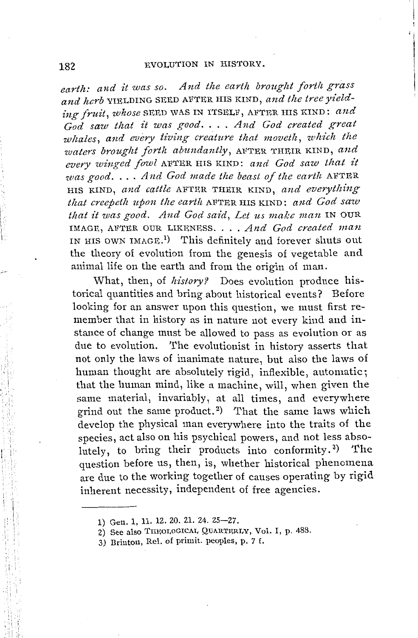earth: and it was so. And the earth brought forth grass and herb YIELDING SEED AFTER HIS KIND, and the tree yielding fruit, whose SEED WAS IN ITSELF, AFTER HIS KIND: and  $God$  saw that it was good. . . . And God created great *whales, and every living creature that moveth, which the waters brought forth abundantly, AFTER THEIR KIND, and* every winged fowl AFTER HIS KIND: and God saw that it *was good .* ... *And God made the beast of the earth* AFTER HIS KIND, and cattle AFTER THEIR KIND, and everything *t!tat creepetlt upon the earth* AFTER HIS KIND: *and God saw*  that it was good. And God said, Let us make man IN OUR IMAGE, AFTER OUR LIKENESS .... *And God created man*  IN HIS OWN IMAGE.<sup>1</sup>) This definitely and forever shuts out the theory of evolution from the genesis of vegetable and animal life on the earth and from the origin of man.

What, then, of *history?* Does evolution produce historical quantities and bring about historical events? Before looking for an answer upon this question, we must first remember that in history as in nature not every kind and instance of change must be allowed to pass as evolution or as due to evolution. The evolutionist in history asserts that not only the laws of inanimate nature, but also the laws of human thought are absolutely rigid, inflexible, automatic; that the human mind, like a machine, will, when given the same material, invariably, at all times, and everywhere grind out the same product. 2) That the same laws which develop the physical man everywhere into the traits of the species, act also on his psychical powers, and not less absolutely, to bring their products into conformity.<sup>3)</sup> ) The question before us, then, is, whether historical phenomena are due to the working together of causes operating by rigid inherent necessity, independent of free agencies.

<sup>1)</sup> Gen. 1, 11. 12. 20. 21. 24. 25-27.

<sup>2)</sup> See also THEOLOGICAL QUARTERLY, Vol. I, p. 488.

<sup>3)</sup> Brinton, Rel. of primit. peoples, p. 7 f.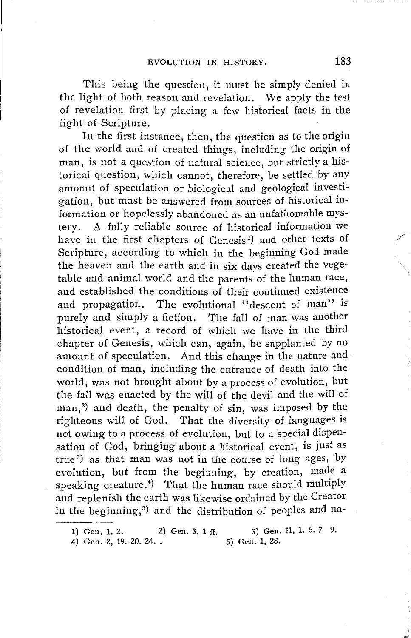This being the question, it must be simply denied in the light of both reason and revelation. We apply the test of revelation first by placing a few historical facts in the light of Scripture.

In the first instance, then, the question as to the origin of the world and of created things, including the origin of man, is not a question of natural science, but strictly a historical question, which cannot, therefore, be settled by any amount of speculation or biological and geological investigation, but must be answered from sources of historical information or hopelessly abandoned as an unfathomable mystery. A fully reliable source of historical information we have in the first chapters of Genesis<sup>1</sup>) and other texts of Scripture, according to which in the beginning God made the heaven and the earth and in six days created the vegetable and animal world and the parents of the human race, and established the conditions of their continued existence and propagation. The evolutional "descent of man" is purely and simply a fiction. The fall of man was another historical event, a record of which we have in the third chapter of Genesis, which can, again, be supplanted by no amount of speculation. And this change in the nature and condition of man, including the entrance of death into the world, was not brought about by a process of evolution, but the fall was enacted by the will of the devil and the will of man,<sup>2</sup>) and death, the penalty of sin, was imposed by the righteous will of God. That the diversity of languages is not owing to a process of evolution, but to a special dispensation of God, bringing about a historical event, is just as true 3) as that man was not in the course of long ages, by evolution, but from the beginning, by creation, made a speaking creature.<sup>4</sup>) That the human race should multiply and replenish the earth was likewise ordained by the Creator in the beginning,<sup>5</sup>) and the distribution of peoples and na-

4) Gen. 2, 19. 20. 24...

/

<sup>1)</sup> Gen. 1. 2. 2) Gen. 3, 1 ff. 3) Gen. 11, 1. 6. 7-9. 5) Gen. 1, 28.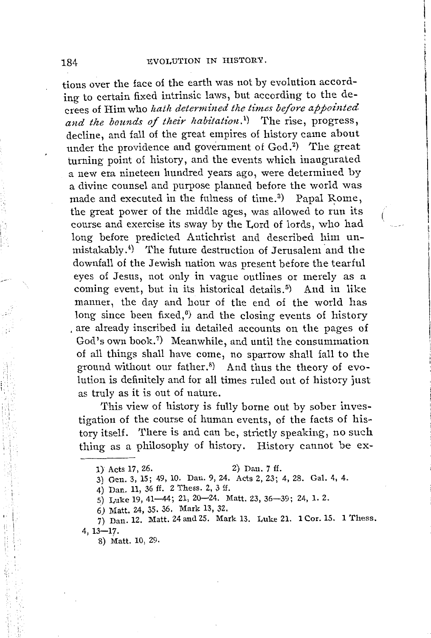tions over the face of the earth was not by evolution according to certain fixed intrinsic laws, but according to the decrees of Him who *lzatlz determined tlze times before appointed*  and the bounds of their habitation.<sup>1</sup>) The rise, progress, decline, and fall of the great empires of history came about under the providence and government of God.<sup>2</sup>) The great turning point of history, and the events which inaugurated a new era nineteen hundred years ago, were determined by a divine counsel and purpose planned before the world was made and executed in the fulness of time.<sup>3</sup>) Papal Rome, the great power of the middle ages, was allowed to run its course and exercise its sway by the Lord of lords, who had long before predicted Antichrist and described him unmistakably.<sup>4</sup>) The future destruction of Jerusalem and the downfall of the Jewish nation was present before the tearful eyes of Jesus, not only in vague outlines or merely as a coming event, but in its historical details. 5) And in like manner, the day and hour of the end of the world has long since been fixed,<sup>6</sup>) and the closing events of history . are already inscribed in detailed accounts on the pages of God's own book. <sup>7</sup> ) Meanwhile, and until the consummation of all things shall have come, no sparrow shall fall to the ground without our father.<sup>8)</sup> And thus the theory of evolution is definitely and for all times ruled out of history just as truly as it is out of nature.

This view of history is fully borne out by sober investigation of the course of human events, of the facts of history itself. There is and can be, strictly speaking, no such thing as a philosophy of history. History cannot be ex-

- 3) Gen. 3, 15; 49, 10. Dan. 9, 24. Acts 2, 23; 4, 28. Gal. 4, 4.
- 4) Dan. 11, 36 ff. 2 Thess. 2, 3 ff.
- 5) Luke 19, 41-44; 21, 20-24. Matt. 23, 36-39; 24, 1. 2.
- 6) Matt. 24, 35. 36. Mark 13, 32.

7) Dan. 12. Matt. 24 and 25. Mark 13. Luke 21. 1 Cor. 15. 1 Thess. 4, 13-17.

8) Matt. 10, 29.

,'i

1 , I

I I

<sup>1)</sup> Acts 17, 26. 2) Dan. 7 ff.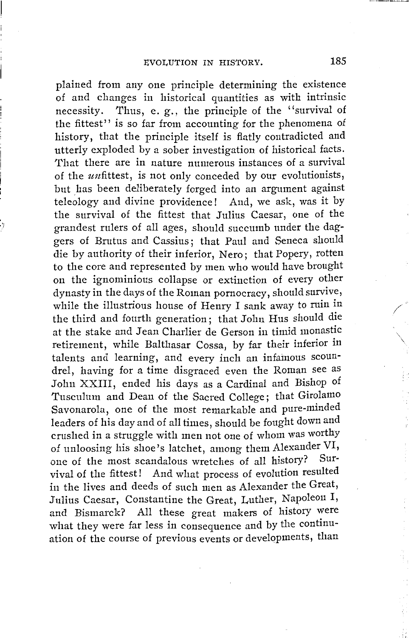plained from any one principle determining the existence of and changes in historical quantities as with intrinsic necessity. Thus, e. g., the principle of the "survival of the fittest'' is so far from accounting for the phenomena of history, that the principle itself is flatly contradicted and utterly exploded by a sober investigation of historical facts. That there are in nature numerous instances of a survival of the unfittest, is not only conceded by our evolutionists, but has been deliberately forged into an argument against teleology and divine providence! And, we ask, was it by the survival of the fittest that Julius Caesar, one of the grandest rulers of all ages, should succumb under the daggers of Brutus and Cassius; that Paul and Seneca should die by authority of their inferior, Nero; that Popery, rotten to the core and represented by men who would have brought on the ignominious collapse or extinction of every other dynasty in the days of the Roman pornocracy, should survive, while the illustrious house of Henry I sank away to ruin in the third and fourth generation; that John Hus should die at the stake and Jean Charlier de Gerson in timid monastic retirement, while Balthasar Cossa, by far their inferior in talents and learning, and every inch an infamous scoundrel, having for a time disgraced even the Roman see as John XXIII, ended his days as a Cardinal and Bishop of Tusculum and Dean of the Sacred College; that Girolamo Savonarola, one of the most remarkable and pure-minded leaders of his day and of all times, should be fought down and crushed in a struggle with men not one of whom was worthy of unloosing his shoe's latchet, among them Alexander VI, one of the most scandalous wretches of all history? Survival of the fittest! And what process of evolution resulted in the lives and deeds of such men as Alexander the Great, Julius Caesar, Constantine the Great, Luther, Napoleon I, and Bismarck? All these great makers of history were what they were far less in consequence and by the continuation of the course of previous events or developments, than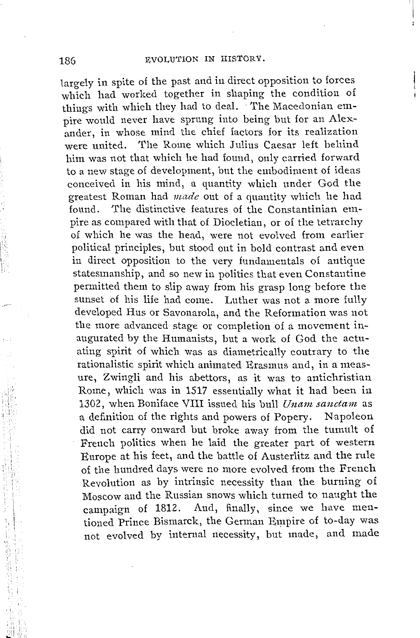I I

largely in spite of the past and in direct opposition to forces which had worked together in shaping the condition of things with which they had to deal. The Macedonian empire would never have sprung into being but for an Alexander, in whose mind the chief factors for its realization were united. The Rome which Julius Caesar left behind him was not that which he had found, only carried forward to a new stage of development, but the embodiment of ideas conceived in his mind, a quantity which under God the greatest Roman had *made* out of a quantity which he had found. The distinctive features of the Constantinian empire as compared with that of Diocletian, or of the tetrarchy of which he was the head, were not evolved from earlier political principles, but stood out in bold contrast and even in direct opposition to the very fundamentals of antique statesmanship, and so new in politics that even Constantine permitted them to slip away from his grasp long before the sunset of his life had come. Luther was not a more fully developed Hus or Savonarola, and the Reformation was not the more advanced stage or completion of a movement inaugurated by the Humanists, but a work of God the actuating spirit of which was as diametrically contrary to the rationalistic spirit which animated Erasmus and, in a measure, Zwingli and his abettors, as it was to antichristian Rome, which was in 1517 essentially what it had been in 1302, when Boniface VIII issued his bull *Unam sanctam* as a definition of the rights and powers of Popery. Napoleon did not carry onward but broke away from the tumult of French politics when he laid the greater part of western Europe at his feet, and the battle of Austerlitz and the rule of the hundred days were no more evolved from the French Revolution as by intrinsic necessity than the burning of Moscow and the Russian snows which turned to naught the campaign of 1812. And, finally, since we have mentioned Prince Bismarck, the German Empire of to-day was not evolved by internal necessity, but made, and made

;11 I ,11 I  $\mathbb{Z}^n$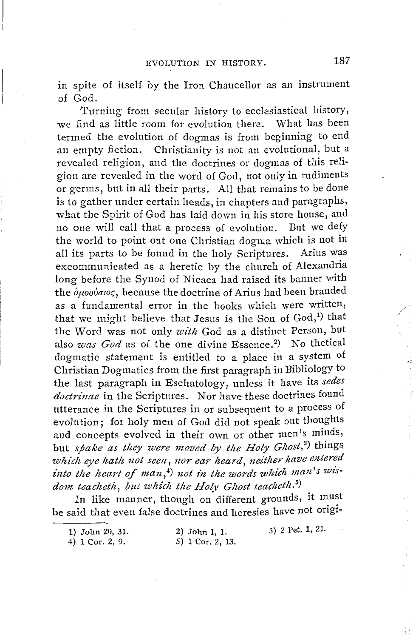m spite of itself by the Iron Chancellor as an instrument of God.

Turning from secular history to ecclesiastical history, we find as little room for evolution there. What has been termed the evolution of dogmas is from beginning to end an empty fiction. Christianity is not an evolutional, but a revealed religion, and the doctrines or dogmas of this religion are revealed in the word of God, not only in rudiments or germs, but in all their parts. All that remains to be done is to gather under certain heads, in chapters and paragraphs, what the Spirit of God has laid down in his store house, and no one will call that a process of evolution. But we defy the world to point out one Christian dogma which is not in all its parts to be found in the holy Scriptures. Arius was excommunicated as a heretic by the church of Alexandria long before the Synod of Nicaea had raised its banner with the *ομοούσιος*, because the doctrine of Arius had been branded as a fundamental error in the books which were written, that we might believe that Jesus is the Son of  $God,<sup>1</sup>$  that the Word was not only *with* God as a distinct Person, but also *was God* as of the one divine Essence.<sup>2</sup>) No thetical dogmatic statement is entitled to a place in a system of Christian Dogmatics from the first paragraph in Bibliology to the last paragraph in Eschatology, unless it have its *sedes doctrinae* in the Scriptures. Nor have these doctrines found utterance in the Scriptures in or subsequent to a process of evolution; for holy men of God did not speak out thoughts and concepts evolved in their own or other men's minds, but *spake as they were moved by the Holy Ghost*,<sup>3</sup>) things *which eye hath not seen, nor ear heard, neither have entered*  into the heart of man,<sup>4</sup>) not in the words which man's wisdom teacheth, but which the Holy Ghost teacheth.<sup>5</sup>)

In like manner, though on different grounds, it must be said that even false doctrines and heresies have not origi-

1) John 20, 31.

2) John 1, 1. 5) 1 Cor. 2, 13. 3) 2 Pet. 1, 21.

4) 1 Cor. 2, 9.

/

 $\leq$  1  $-$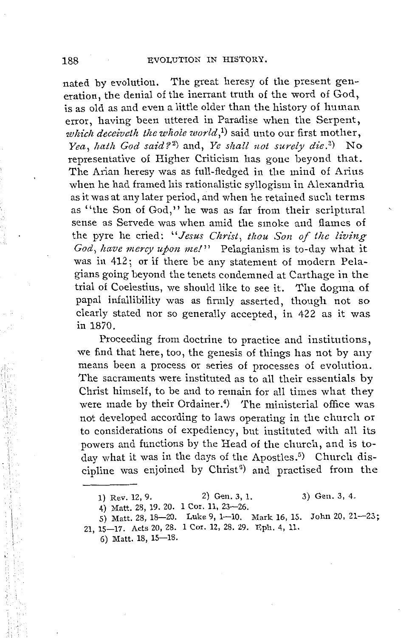nated by evolution. The great heresy of the present generation, the denial of the inerrant truth of the word of God, is as old as and even a little older than the history of human error, having been uttered in Paradise when the Serpent. which deceiveth the whole world,<sup>1</sup>) said unto our first mother. Yea, hath God said?<sup>2</sup>) and, *Ye shall not surely die*.<sup>3</sup>) No representative of Higher Criticism has gone beyond that. The Arian heresy was as full-fledged in the mind of Arius when he had framed his rationalistic syllogism in Alexandria as it was at any later period, and when he retained such terms as ''the Son of God,'' he was as far from their scriptural sense as Servede was when amid the smoke and flames of the pyre he cried: *"Jesus Christ, thou Son of the living God, have mercy upon me!"* Pelagianism is to-day what it was in 412; or if there be any statement of modern Pelagians going beyond the tenets condemned at Carthage in the trial of Coelestius, we should like to see it. The dogma of papal infallibility was as firmly asserted, though not so clearly stated nor so generally accepted, in 422 as it was in 1870.

Proceeding from doctrine to practice and institutions, we find that here, too, the genesis of things has not by any means been a process or series of processes of evolution. The sacraments were instituted as to all their essentials by Christ himself, to be and to remain for all times what they were made by their Ordainer.<sup>4</sup>) The ministerial office was not developed according to laws operating in the church or to considerations of expediency, but instituted with all its powers and functions by the Head of the church, and is today what it was in the days of the Apostles.<sup>5</sup>) Church discipline was enjoined by Christ<sup>6</sup>) and practised from the

5) Matt. 28, 18-20. Luke 9, 1-10. Mark 16, 15. John 20, 21-23: 21, 15-17. Acts 20, 28. 1 Cor. 12, 28. 29. Eph. 4, 11.

6) Matt. 18, 15-18.

<sup>1)</sup> Rev. 12, 9. 2) Gen. 3, 1. 3) Gen. 3, 4.

<sup>4)</sup> Matt. 28, 19. 20. 1 Cor. 11, 23-26.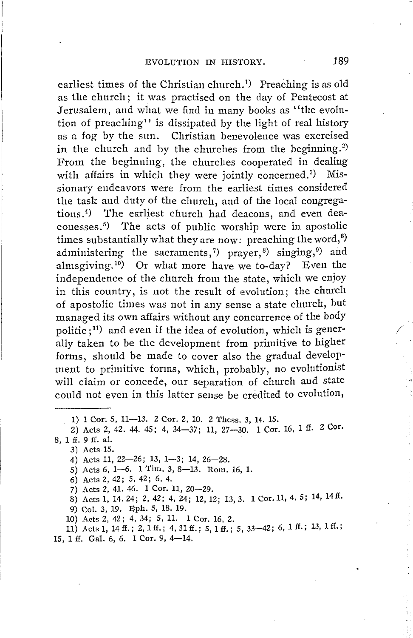earliest times of the Christian church.1) Preaching is as old as the church; it was practised on the day of Pentecost at Jerusalem, and what we find in many books as "the evolution of preaching'' is dissipated by the light of real history as a fog by the sun. Christian benevolence was exercised in the church and by the churches from the beginning.<sup>2</sup>) From the beginning, the churches cooperated in dealing with affairs in which they were jointly concerned.<sup>3</sup>) Missionary endeavors were from the earliest times considered the task and duty of the church, and of the local congregations.4) The earliest church had deacons, and even deaconesses.5) The acts of public worship were in apostolic times substantially what they are now: preaching the word, $^6$ ) administering the sacraments,<sup>7</sup>) prayer,<sup>8</sup>) singing,<sup>9</sup>) and almsgiving. 10) Or what more have we to-day? Even the independence of the church from the state, which we enjoy in this country, is not the result of evolution; the church of apostolic times was not in any sense a state church, but managed its own affairs without any concurrence of the body politic  $;$ <sup>11</sup>) and even if the idea of evolution, which is generally taken to be the development from primitive to higher forms, should be made to cover also the gradual development to primitive forms, which, probably, no evolutionist will claim or concede, our separation of church and state could not even in this latter sense be credited to evolution,

3) Acts 15.

4) Acts 11, 22-26; 13, 1-3; 14, 26-28.

5) Acts 6, 1-6. 1 Tim. 3, 8-13. Rom. 16, 1.

6) Acts 2, 42; 5, 42; 6, 4.

7) Acts 2, 41. 46. 1 Cor. 11, 20-29.

8) Acts 1, 14. 24; 2, 42; 4, 24; 12, 12; 13, 3. 1 Cor.11, 4. 5; 14, 14ff.

9) Col. 3, 19. Eph. 5, 18. 19.

10) Acts 2, 42; 4, 34; 5, 11. 1 Cor. 16, 2.

11) Acts 1, 14 ff.; 2, 1 ff.; 4, 31 ff.; 5, 1 ff.; 5, 33-42; 6, 1 ff.; 13, 1 ff.; 15, 1 ff. Gal. 6, 6. 1 Cor. 9, 4-14.

/

<sup>1) 1</sup> Cor. 5, 11-13. 2 Cor. 2, 10. 2 Thess. 3, 14. 15.

<sup>2)</sup> Acts 2, 42. 44. 45; 4, 34-37; 11, 27-30. 1 Cor. 16, 1 ff. 2 Cor. 8, 1 ff. 9 ff. al.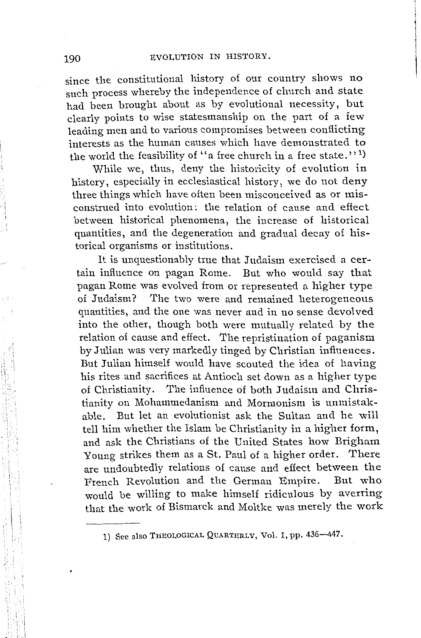since the constitutional history of our country shows no such process whereby the independence of church and state had been brought about as by evolutional necessity, but clearly points to wise statesmanship on the part of a few leading men and to various compromises between conflicting interests as the human causes which have demonstrated to the world the feasibility of "a free church in a free state."<sup>1</sup>)

While we, thus, deny the historicity of evolution in history, especially in ecclesiastical history, we do not deny three things which have often been misconceived as or misconstrued into evolution: the relation of cause and effect between historical phenomena, the increase of historical quantities, and the degeneration and gradual decay of historical organisms or institutions.

It is unquestionably true that Judaism exercised a certain influence on pagan Rome. But who would say that pagan Rome was evolved from or represented a higher type of Judaism? The two were and remained heterogeneous quantities, and the one was never and in no sense devolved into the other, though both were mutually related by the relation of cause and effect. The repristination of paganism by Julian was very markedly tinged by Christian influences. But Julian himself would have sconted the idea of having his rites and sacrifices at Antioch set down as a higher type of Christianity. The influence of both Judaism and Christianity on Mohammedanism and Mormonism is unmistakable. But let an evolutionist ask the Sultan and he will tell him whether the Islam be Christianity in a higher form, and ask the Christians of the United States how Brigham Yonng strikes them as a St. Paul of a higher order. There are undoubtedly relations of cause and effect between the French Revolution and the German Empire. But who would be willing to make himself ridiculous by averring that the work of Bismarck and Moltke was merely the work

<sup>1</sup>'1  $_{\rm{HII}}$ 

<sup>1)</sup> See also THEOLOGICAL QUARTERLY, Vol. I, pp. 436-447.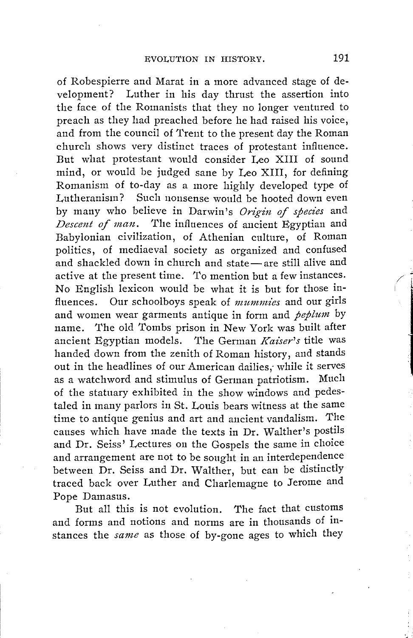of Robespierre and Marat in a more advanced stage of development? Luther in his day thrust the assertion into the face of the Romanists that they no longer ventured to preach as they had preached before he had raised his voice, and from the council of Trent to the present day the Roman church shows very distinct traces of protestant influence. But what protestant would consider Leo XIII of sound mind, or would be judged sane by Leo XIII, for defining Romanism of to-day as a more highly developed type of Lutheranism? Such nonsense would be hooted down even by many who believe in Darwin's Origin of species and *Descent of man.* The influences of ancient Egyptian and Babylonian civilization, of Athenian culture, of Roman politics, of mediaeval society as organized and confused and shackled down in church and state- are still alive and active at the present time. *To* mention but a few instances. No English lexicon would be what it is but for those influences. Our schoolboys speak of *mummies* and our girls and women wear garments antique in form and *peplum* by name. The old Tombs prison in New York was built after ancient Egyptian models. The German *Kaiser's* title was handed down from the zenith of Roman history, and stands out in the headlines of our American dailies, while it serves as a watchword and stimulus of German patriotism. Much of the statuary exhibited in the show windows and pedestaled in many parlors in St. Louis bears witness at the same time to antique genius and art and ancient vandalism. The causes which have made the texts in Dr. Walther's postils and Dr. Seiss' Lectures on the Gospels the same in choice and arrangement are not to be sought in an interdependence between Dr. Seiss and Dr. Walther, but can be distinctly traced back over Luther and Charlemagne to Jerome and Pope Damasus.

But all this is not evolution. The fact that customs and forms and notions and norms are in thousands of instances the *same* as those of by-gone ages to which they  $\angle$  i

·..,...:..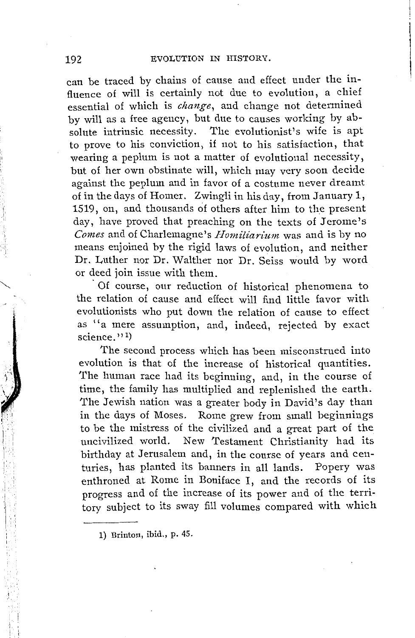can be traced by chains of cause and effect under the influence of will is certainly not due to evolution, a chief essential of which is *change,* and change not determined by will as a free agency, but due to causes working by absolute intrinsic necessity. The evolutionist's wife is apt to prove to his conviction, if not to his satisfaction, that wearing a peplum is not a matter of evolutional necessity, but of her own obstinate will, which may very soon decide against the peplum and in favor of a costume never dreamt of in the days of Homer. Zwingli in his day, from January 1, 1519, on, and thousands of others after him to the present day, have proved that preaching on the texts of Jerome's *Comes* and of Charlemagne's *Homiliarium* was and is by no means enjoined by the rigid laws of evolution, and neither Dr. Luther nor Dr. Walther nor Dr. Seiss would by word or deed join issue with them.

Of course, our reduction of historical phenomena to the relation of cause and effect will find little favor with evolutionists who put down the relation of cause to effect as ''a mere assumption, and, indeed, rejected by exact science.''<sup>1</sup>

The second process which has been misconstrued into evolution is that of the increase of historical quantities. The human race had its beginning, and, in the course of time, the family has multiplied and replenished the earth. The Jewish nation was a greater body in David's day than in the days of Moses. Rome grew from small beginnings to be the mistress of the civilized and a great part of the New Testament Christianity had its birthday at Jerusalem and, in the course of years and centuries, has planted its banners in all lands. Popery was enthroned at Rome in Boniface I, and the records of its progress and of the increase of its power and of the territory subject to its sway fill volumes compared with which

1) Brinton, ibid., p. 45.

i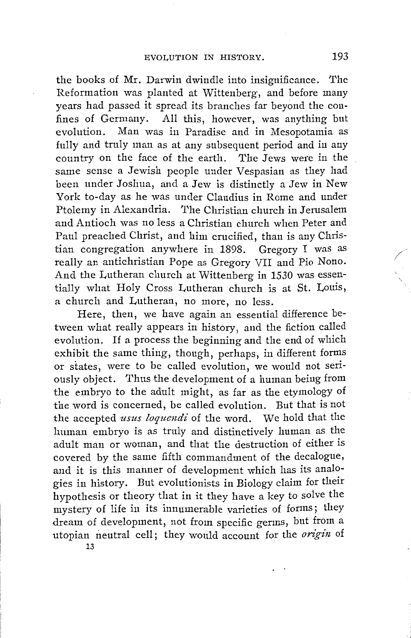the books of Mr. Darwin dwindle into insignificance. The Reformation was planted at Wittenberg, and before many years had passed it spread its branches far beyond the confines of Germany. All this, however, was anything but evolution. Man was in Paradise and in Mesopotamia as fully and truly man as at any subsequent period and in any country on the face of the earth. The Jews were in the same sense a Jewish people under Vespasian as they had been under Joshua, and a Jew is distinctly a Jew in New York to-day as he was under Claudius in Rome and under Ptolemy in Alexandria. The Christian church in Jerusalem and Antioch was no less a Christian church when Peter and Paul preached Christ, and him crucified, than is any Christian congregation anywhere in 1898. Gregory I was as really an antichristian Pope as Gregory VII and Pio Nono. And the Lutheran church at Wittenberg in 1530 was essentially what Holy Cross Lutheran church is at St. Louis, a church and Lutheran, no more, no less.

Here, then, we have again an essential difference between what really appears in history, and the fiction called evolution. If a process the beginning and the end of which exhibit the same thing, though, perhaps, in different forms or states, were to be called evolution, we would not seriously object. Thus the development of a human being from the embryo to the adult might, as far as the etymology of the word is concerned, be called evolution. But that is not the accepted *usus loquendi* of the word. We hold that the human embryo is as truly and distinctively human as the adult man or woman, and that the destruction of either is covered by the same fifth commandment of the decalogue, and it is this manner of development which has its analogies in history. But evolutionists in Biology claim for their hypothesis or theory that in it they have a key to solve the mystery of life in its innumerable varieties of forms; they dream of development, not from specific germs, but from a utopian neutral cell; they would account for the *origin* of

13

/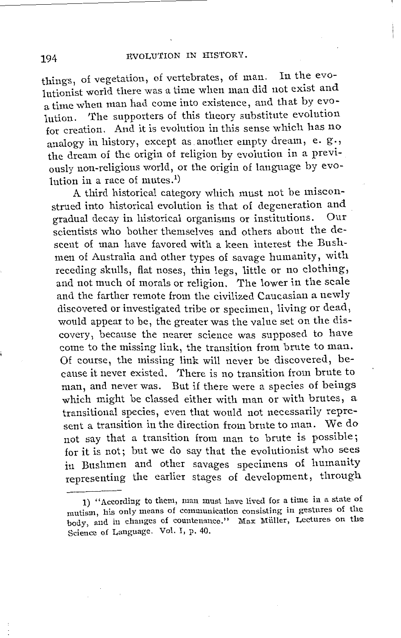things, of vegetation, of vertebrates, of man. In the evolutionist world there was a time when man did not exist an a time when man had come into existence, and that by evolution. The supporters of this theory substitute evolution for creation. And it is evolution in this sense which has no analogy in history, except as another empty dream, e.  $g.,$ the dream of the origin of religion by evolution in a previously non-religious world, or the origin of language by evolution in a race of mutes.<sup>1</sup>)

A third historical category which must not be misconstrued into historical evolution is that of degeneration and<br>gradual decay in historical organisms or institutions. Our gradual decay in historical organisms or institutions. scientists who bother themselves and others about the descent of man have favored with a keen interest the Bushmen of Australia and other types of savage humanity, with receding skulls, flat noses, thin legs, little or no clothing, and not much of morals or religion. The lower in the scale and the farther remote from the civilized Caucasian a newly discovered or investigated tribe or specimen, living or dead, would appear to be, the greater was the value set on the discovery, because the nearer science was supposed to have come to the missing link, the transition from brute to man. Of course, the missing link will never be discovered, because it never existed. There is no transition from brute to man, and never was. But if there were a species of beings which might be classed either with man or with brutes, a transitional species, even that would not necessarily represent a transition in the direction from brute to man. We do not say that a transition from man to brute is possible; for it is not; but we do say that the evolutionist who sees in Bushmen and other savages specimens of humanity representing the earlier stages of development, through

<sup>1) &</sup>quot;According to them, man must have lived for a time in a state of mutism, his only means of communication consisting in gestures of the body, and in changes of countenance." Max Miiller, Lectures on the Science of Language. Vol. I, p. 40.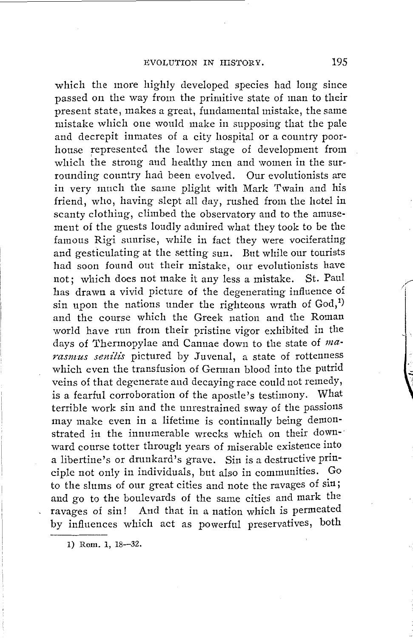which the more highly developed species had long since passed on the way from the primitive state of man to their present state, makes a great, fundamental mistake, the same mistake which one would make in supposing that the pale and decrepit inmates of a city hospital or a country poorhouse represented the lower stage of development from which the strong and healthy men and women in the surrounding country had been evolved. Our evolutionists are in very much the same plight with Mark Twain and his friend, who, having slept all day, rushed from the hotel in scanty clothing, climbed the observatory and to the amusement of the guests loudly admired what they took to be the famous Rigi sunrise, while in fact they were vociferating and gesticulating at the setting sun. But while our tourists had soon found out their mistake, our evolutionists have not; which does not make it any less a mistake. St. Paul has drawn a vivid picture of the degenerating influence of sin upon the nations under the righteous wrath of  $God<sub>1</sub><sup>1</sup>$ and the course which the Greek nation and the Roman world have run from their pristine vigor exhibited in the days of Thermopylae and Cannae down to the state of marasmus senilis pictured by Juvenal, a state of rottenness which even the transfusion of German blood into the putrid veins of that degenerate and decaying race could not remedy, is a fearful corroboration of the apostle's testimony. What terrible work sin and the unrestrained sway of the passions may make even in a lifetime is continually being demonstrated in the innumerable wrecks which on their down-· ward course totter through years of miserable existence into a libertine's or drunkard's grave. Sin is a destructive principle not only in individuals, but also in communities. to the slums of our great cities and note the ravages of sin; and go to the boulevards of the same cities and mark the ravages of sin! And that in a nation which is permeated by influences which act as powerful preservatives, both

1) Rom. 1, 18-32.

I,/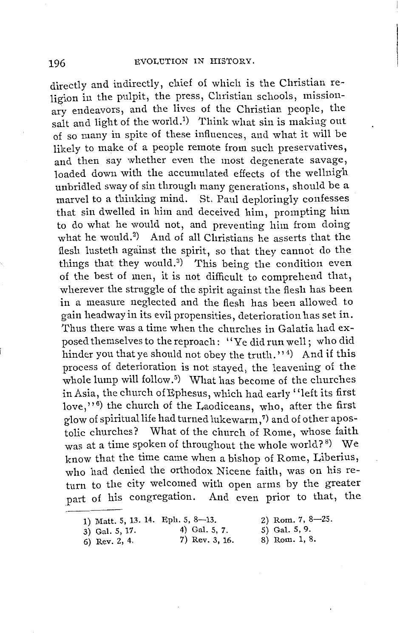directly and indirectly, chief of which is the Christian religion in the pulpit, the press, Christian schools, missionary endeavors, and the lives of the Christian people, the salt and light of the world.<sup>1</sup>) Think what sin is making out of so many in spite of these influences, and what it will be likely to make of a people remote from such preservatives, and then say whether even the most degenerate savage, loaded down with the accumulated effects of the wellnigh unbridled sway of sin through many generations, should be a marvel to a thinking mind. St. Paul deploringly confesses that sin dwelled in him and deceived him, prompting him to do what he would not, and preventing him from doing what he would.<sup>2</sup>) And of all Christians he asserts that the flesh lusteth against the spirit, so that they cannot do the things that they would.<sup>3</sup>) This being the condition even of the best of men, it is not difficult to comprehend that, wherever the struggle of the spirit against the flesh has been in a measure neglected and the flesh has been allowed to gain headway in its evil propensities, deterioration has set in. Thus there was a time when the churches in Galatia had exposed themselves to the reproach: '' Ye did run well; who did hinder you that ye should not obey the truth.'<sup>1</sup> And if this process of deterioration is not stayed, the leavening of the whole lump will follow. <sup>5</sup> ) What has become of the churches in Asia, the church of Ephesus, which had early "left its first love,''<sup>6</sup>) the church of the Laodiceans, who, after the first glow of spiritual life had turned lukewarm, 7) and of other apostolic churches? What of the church of Rome, whose faith was at a time spoken of throughout the whole world? $^{\rm 8)}$  We know that the time came when a bishop of Rome, Liberius, who had denied the orthodox Nicene faith, was on his return to the city welcomed with open arms by the greater part of his congregation. And even prior to that, the

|  |  |  |  |  |  |  | 1) Matt. 5, 13. 14. Eph. 5, 8-13. |
|--|--|--|--|--|--|--|-----------------------------------|
|--|--|--|--|--|--|--|-----------------------------------|

6) Rev. 2, 4.

3) Gal. 5, 17. 4) Gal. 5, 7.<br>6) Rev. 2, 4. 7) Rev. 3, 16.

2) Rom. 7, 8-25. 5) Gal. 5, 9. 8) Rom. 1, 8.